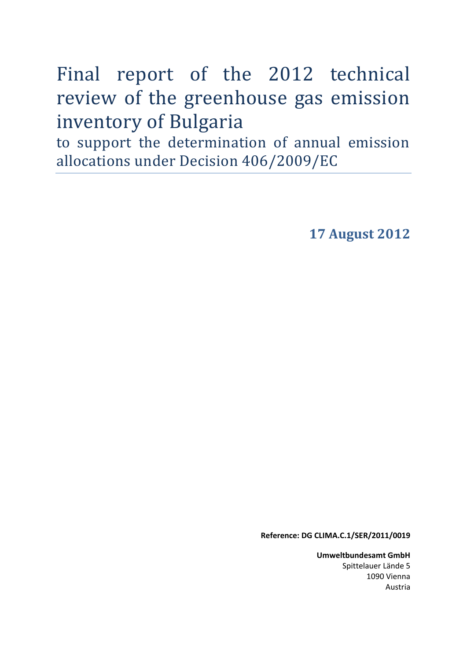Final report of the 2012 technical review of the greenhouse gas emission inventory of Bulgaria

to support the determination of annual emission allocations under Decision 406/2009/EC

**17 August 2012**

**Reference: DG CLIMA.C.1/SER/2011/0019**

**Umweltbundesamt GmbH** Spittelauer Lände 5 1090 Vienna Austria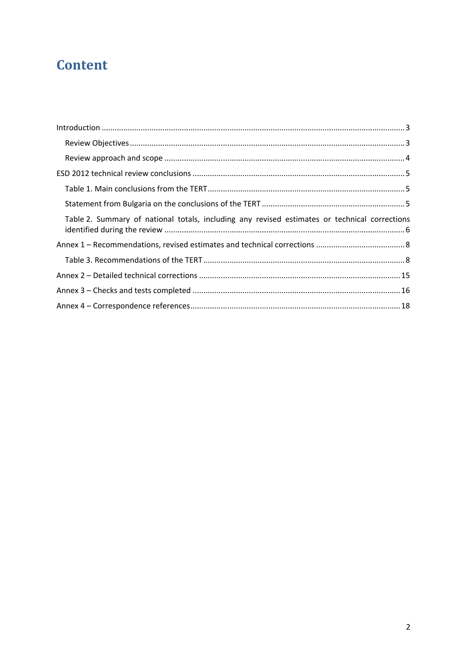# **Content**

| Table 2. Summary of national totals, including any revised estimates or technical corrections |  |
|-----------------------------------------------------------------------------------------------|--|
|                                                                                               |  |
|                                                                                               |  |
|                                                                                               |  |
|                                                                                               |  |
|                                                                                               |  |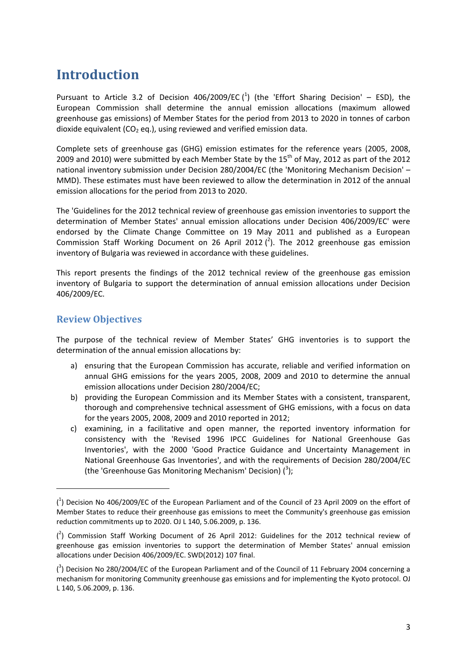### <span id="page-2-0"></span>**Introduction**

Pursuant to Article 3.2 of Decision 406/2009/EC  $(^1)$  (the 'Effort Sharing Decision' – ESD), the European Commission shall determine the annual emission allocations (maximum allowed greenhouse gas emissions) of Member States for the period from 2013 to 2020 in tonnes of carbon dioxide equivalent ( $CO<sub>2</sub>$  eq.), using reviewed and verified emission data.

Complete sets of greenhouse gas (GHG) emission estimates for the reference years (2005, 2008, 2009 and 2010) were submitted by each Member State by the 15<sup>th</sup> of May, 2012 as part of the 2012 national inventory submission under Decision 280/2004/EC (the 'Monitoring Mechanism Decision' – MMD). These estimates must have been reviewed to allow the determination in 2012 of the annual emission allocations for the period from 2013 to 2020.

The 'Guidelines for the 2012 technical review of greenhouse gas emission inventories to support the determination of Member States' annual emission allocations under Decision 406/2009/EC' were endorsed by the Climate Change Committee on 19 May 2011 and published as a European Commission Staff Working Document on 26 April 2012  $(^2)$ . The 2012 greenhouse gas emission inventory of Bulgaria was reviewed in accordance with these guidelines.

This report presents the findings of the 2012 technical review of the greenhouse gas emission inventory of Bulgaria to support the determination of annual emission allocations under Decision 406/2009/EC.

#### <span id="page-2-1"></span>**Review Objectives**

**.** 

The purpose of the technical review of Member States' GHG inventories is to support the determination of the annual emission allocations by:

- a) ensuring that the European Commission has accurate, reliable and verified information on annual GHG emissions for the years 2005, 2008, 2009 and 2010 to determine the annual emission allocations under Decision 280/2004/EC;
- b) providing the European Commission and its Member States with a consistent, transparent, thorough and comprehensive technical assessment of GHG emissions, with a focus on data for the years 2005, 2008, 2009 and 2010 reported in 2012;
- c) examining, in a facilitative and open manner, the reported inventory information for consistency with the 'Revised 1996 IPCC Guidelines for National Greenhouse Gas Inventories', with the 2000 'Good Practice Guidance and Uncertainty Management in National Greenhouse Gas Inventories', and with the requirements of Decision 280/2004/EC (the 'Greenhouse Gas Monitoring Mechanism' Decision) (3);

<sup>(</sup> 1 ) [Decision No 406/2009/EC of the European Parliament and of the Council of 23 April 2009 on the effort of](http://eur-lex.europa.eu/LexUriServ/LexUriServ.do?uri=OJ:L:2009:140:0136:0148:EN:PDF)  [Member States to reduce their greenhouse gas emissions to meet the Community's greenhouse gas emission](http://eur-lex.europa.eu/LexUriServ/LexUriServ.do?uri=OJ:L:2009:140:0136:0148:EN:PDF)  [reduction commitments up to 2020.](http://eur-lex.europa.eu/LexUriServ/LexUriServ.do?uri=OJ:L:2009:140:0136:0148:EN:PDF) OJ L 140, 5.06.2009, p. 136.

 $(^2)$  Commission Staff Working Document of 26 April 2012: Guidelines for the 2012 technical review of [greenhouse gas emission inventories to support the determination of Member States'](http://ec.europa.eu/clima/policies/effort/docs/swd_2012_107_en.pdf) annual emission [allocations under Decision 406/2009/EC.](http://ec.europa.eu/clima/policies/effort/docs/swd_2012_107_en.pdf) SWD(2012) 107 final.

 $\binom{3}{2}$  Decision No 280/2004/EC of the European Parliament and of the Council of 11 February 2004 concerning a [mechanism for monitoring Community greenhouse gas emissions](http://eur-lex.europa.eu/LexUriServ/LexUriServ.do?uri=OJ:L:2004:049:0001:0001:EN:PDF) and for implementing the Kyoto protocol. OJ L 140, 5.06.2009, p. 136.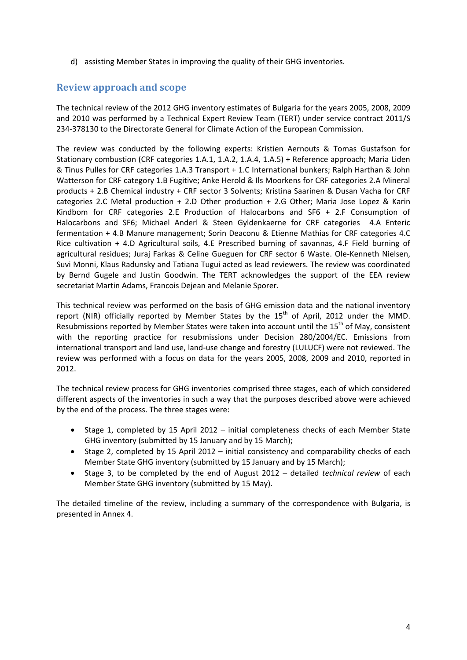d) assisting Member States in improving the quality of their GHG inventories.

#### <span id="page-3-0"></span>**Review approach and scope**

The technical review of the 2012 GHG inventory estimates of Bulgaria for the years 2005, 2008, 2009 and 2010 was performed by a Technical Expert Review Team (TERT) under service contract 2011/S 234-378130 to the Directorate General for Climate Action of the European Commission.

The review was conducted by the following experts: Kristien Aernouts & Tomas Gustafson for Stationary combustion (CRF categories 1.A.1, 1.A.2, 1.A.4, 1.A.5) + Reference approach; Maria Liden & Tinus Pulles for CRF categories 1.A.3 Transport + 1.C International bunkers; Ralph Harthan & John Watterson for CRF category 1.B Fugitive; Anke Herold & Ils Moorkens for CRF categories 2.A Mineral products + 2.B Chemical industry + CRF sector 3 Solvents; Kristina Saarinen & Dusan Vacha for CRF categories 2.C Metal production + 2.D Other production + 2.G Other; Maria Jose Lopez & Karin Kindbom for CRF categories 2.E Production of Halocarbons and SF6 + 2.F Consumption of Halocarbons and SF6; Michael Anderl & Steen Gyldenkaerne for CRF categories 4.A Enteric fermentation + 4.B Manure management; Sorin Deaconu & Etienne Mathias for CRF categories 4.C Rice cultivation + 4.D Agricultural soils, 4.E Prescribed burning of savannas, 4.F Field burning of agricultural residues; Juraj Farkas & Celine Gueguen for CRF sector 6 Waste. Ole-Kenneth Nielsen, Suvi Monni, Klaus Radunsky and Tatiana Tugui acted as lead reviewers. The review was coordinated by Bernd Gugele and Justin Goodwin. The TERT acknowledges the support of the EEA review secretariat Martin Adams, Francois Dejean and Melanie Sporer.

This technical review was performed on the basis of GHG emission data and the national inventory report (NIR) officially reported by Member States by the  $15<sup>th</sup>$  of April, 2012 under the MMD. Resubmissions reported by Member States were taken into account until the  $15<sup>th</sup>$  of May, consistent with the reporting practice for resubmissions under Decision 280/2004/EC. Emissions from international transport and land use, land-use change and forestry (LULUCF) were not reviewed. The review was performed with a focus on data for the years 2005, 2008, 2009 and 2010, reported in 2012.

The technical review process for GHG inventories comprised three stages, each of which considered different aspects of the inventories in such a way that the purposes described above were achieved by the end of the process. The three stages were:

- Stage 1, completed by 15 April 2012 initial completeness checks of each Member State GHG inventory (submitted by 15 January and by 15 March);
- Stage 2, completed by 15 April 2012 initial consistency and comparability checks of each Member State GHG inventory (submitted by 15 January and by 15 March);
- Stage 3, to be completed by the end of August 2012 detailed *technical review* of each Member State GHG inventory (submitted by 15 May).

The detailed timeline of the review, including a summary of the correspondence with Bulgaria, is presented in Annex 4.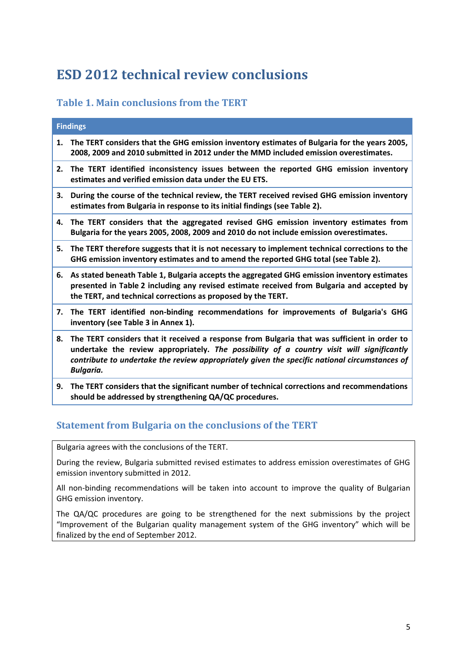## <span id="page-4-0"></span>**ESD 2012 technical review conclusions**

#### <span id="page-4-1"></span>**Table 1. Main conclusions from the TERT**

|    | <b>Findings</b>                                                                                                                                                                                                                                                                                                |
|----|----------------------------------------------------------------------------------------------------------------------------------------------------------------------------------------------------------------------------------------------------------------------------------------------------------------|
| 1. | The TERT considers that the GHG emission inventory estimates of Bulgaria for the years 2005,<br>2008, 2009 and 2010 submitted in 2012 under the MMD included emission overestimates.                                                                                                                           |
| 2. | The TERT identified inconsistency issues between the reported GHG emission inventory<br>estimates and verified emission data under the EU ETS.                                                                                                                                                                 |
| З. | During the course of the technical review, the TERT received revised GHG emission inventory<br>estimates from Bulgaria in response to its initial findings (see Table 2).                                                                                                                                      |
| 4. | The TERT considers that the aggregated revised GHG emission inventory estimates from<br>Bulgaria for the years 2005, 2008, 2009 and 2010 do not include emission overestimates.                                                                                                                                |
|    | 5. The TERT therefore suggests that it is not necessary to implement technical corrections to the<br>GHG emission inventory estimates and to amend the reported GHG total (see Table 2).                                                                                                                       |
| 6. | As stated beneath Table 1, Bulgaria accepts the aggregated GHG emission inventory estimates<br>presented in Table 2 including any revised estimate received from Bulgaria and accepted by<br>the TERT, and technical corrections as proposed by the TERT.                                                      |
|    | 7. The TERT identified non-binding recommendations for improvements of Bulgaria's GHG<br>inventory (see Table 3 in Annex 1).                                                                                                                                                                                   |
| 8. | The TERT considers that it received a response from Bulgaria that was sufficient in order to<br>undertake the review appropriately. The possibility of a country visit will significantly<br>contribute to undertake the review appropriately given the specific national circumstances of<br><b>Bulgaria.</b> |
| 9. | The TERT considers that the significant number of technical corrections and recommendations<br>should be addressed by strengthening QA/QC procedures.                                                                                                                                                          |

#### <span id="page-4-2"></span>**Statement from Bulgaria on the conclusions of the TERT**

Bulgaria agrees with the conclusions of the TERT.

During the review, Bulgaria submitted revised estimates to address emission overestimates of GHG emission inventory submitted in 2012.

All non-binding recommendations will be taken into account to improve the quality of Bulgarian GHG emission inventory.

The QA/QC procedures are going to be strengthened for the next submissions by the project "Improvement of the Bulgarian quality management system of the GHG inventory" which will be finalized by the end of September 2012.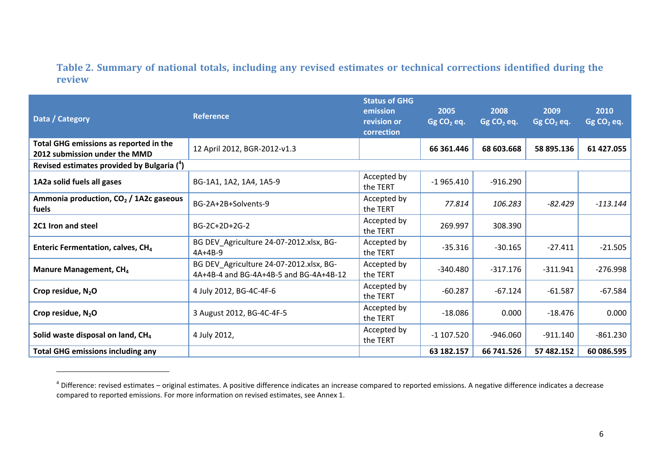#### **Table 2. Summary of national totals, including any revised estimates or technical corrections identified during the review**

| Data / Category                                                         | <b>Reference</b>                                                                  | <b>Status of GHG</b><br>emission<br>revision or<br>correction | 2005<br>$GgCO2$ eq. | 2008<br>Gg $CO2$ eq. | 2009<br>$GgCO2$ eq. | 2010<br>Gg CO <sub>2</sub> eq. |
|-------------------------------------------------------------------------|-----------------------------------------------------------------------------------|---------------------------------------------------------------|---------------------|----------------------|---------------------|--------------------------------|
| Total GHG emissions as reported in the<br>2012 submission under the MMD | 12 April 2012, BGR-2012-v1.3                                                      |                                                               | 66 361.446          | 68 603.668           | 58 895.136          | 61 427.055                     |
| Revised estimates provided by Bulgaria (4)                              |                                                                                   |                                                               |                     |                      |                     |                                |
| 1A2a solid fuels all gases                                              | BG-1A1, 1A2, 1A4, 1A5-9                                                           | Accepted by<br>the TERT                                       | $-1965.410$         | $-916.290$           |                     |                                |
| Ammonia production, $CO2$ / 1A2c gaseous<br>fuels                       | BG-2A+2B+Solvents-9                                                               | Accepted by<br>the TERT                                       | 77.814              | 106.283              | $-82.429$           | $-113.144$                     |
| 2C1 Iron and steel                                                      | BG-2C+2D+2G-2                                                                     | Accepted by<br>the TERT                                       | 269.997             | 308.390              |                     |                                |
| Enteric Fermentation, calves, CH <sub>4</sub>                           | BG DEV_Agriculture 24-07-2012.xlsx, BG-<br>$4A+4B-9$                              | Accepted by<br>the TERT                                       | $-35.316$           | $-30.165$            | $-27.411$           | $-21.505$                      |
| Manure Management, CH <sub>4</sub>                                      | BG DEV Agriculture 24-07-2012.xlsx, BG-<br>4A+4B-4 and BG-4A+4B-5 and BG-4A+4B-12 | Accepted by<br>the TERT                                       | $-340.480$          | $-317.176$           | $-311.941$          | $-276.998$                     |
| Crop residue, $N_2O$                                                    | 4 July 2012, BG-4C-4F-6                                                           | Accepted by<br>the TERT                                       | $-60.287$           | $-67.124$            | $-61.587$           | $-67.584$                      |
| Crop residue, $N_2O$                                                    | 3 August 2012, BG-4C-4F-5                                                         | Accepted by<br>the TERT                                       | $-18.086$           | 0.000                | $-18.476$           | 0.000                          |
| Solid waste disposal on land, CH <sub>4</sub>                           | 4 July 2012,                                                                      | Accepted by<br>the TERT                                       | $-1$ 107.520        | -946.060             | $-911.140$          | $-861.230$                     |
| <b>Total GHG emissions including any</b>                                |                                                                                   |                                                               | 63 182.157          | 66 741.526           | 57 482.152          | 60 086.595                     |

 $^4$  Difference: revised estimates – original estimates. A positive difference indicates an increase compared to reported emissions. A negative difference indicates a decrease compared to reported emissions. For more information on revised estimates, see Annex 1.

<span id="page-5-0"></span> $\overline{\phantom{a}}$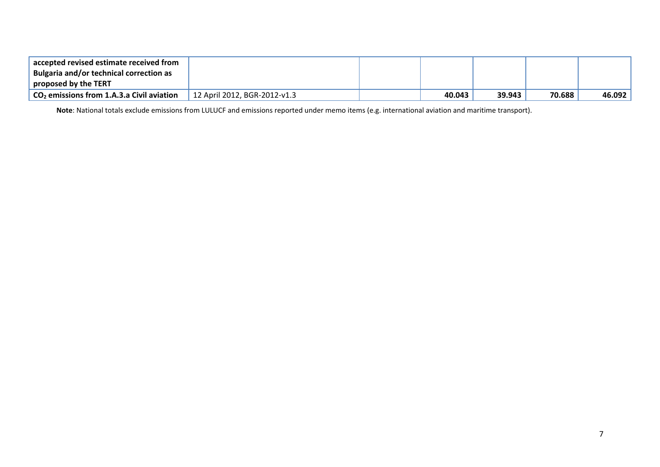| accepted revised estimate received from<br>Bulgaria and/or technical correction as |                              |        |        |        |        |
|------------------------------------------------------------------------------------|------------------------------|--------|--------|--------|--------|
| proposed by the TERT                                                               |                              |        |        |        |        |
| $\sim$ CO <sub>2</sub> emissions from 1.A.3.a Civil aviation                       | 12 April 2012, BGR-2012-v1.3 | 40.043 | 39.943 | 70.688 | 46.092 |

**Note**: National totals exclude emissions from LULUCF and emissions reported under memo items (e.g. international aviation and maritime transport).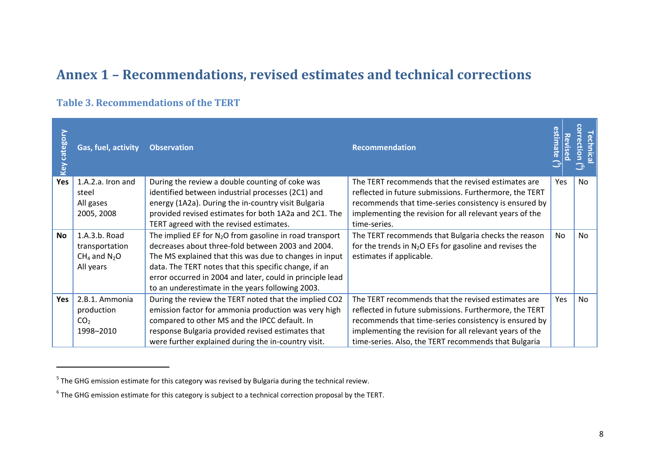### **Annex 1 – Recommendations, revised estimates and technical corrections**

#### **Table 3. Recommendations of the TERT**

<span id="page-7-1"></span><span id="page-7-0"></span> $\overline{\phantom{a}}$ 

| $\mathsf{S}$<br>bo<br>cate | Gas, fuel, activity        | <b>Observation</b>                                                                                   | <b>Recommendation</b>                                                                                        | Revise     | ൹<br>ctio<br>್ತಾ |
|----------------------------|----------------------------|------------------------------------------------------------------------------------------------------|--------------------------------------------------------------------------------------------------------------|------------|------------------|
| Yes                        | 1.A.2.a. Iron and<br>steel | During the review a double counting of coke was<br>identified between industrial processes (2C1) and | The TERT recommends that the revised estimates are<br>reflected in future submissions. Furthermore, the TERT | <b>Yes</b> | No               |
|                            | All gases                  | energy (1A2a). During the in-country visit Bulgaria                                                  | recommends that time-series consistency is ensured by                                                        |            |                  |
|                            | 2005, 2008                 | provided revised estimates for both 1A2a and 2C1. The                                                | implementing the revision for all relevant years of the                                                      |            |                  |
|                            |                            | TERT agreed with the revised estimates.                                                              | time-series.                                                                                                 |            |                  |
| No                         | 1.A.3.b. Road              | The implied EF for $N_2O$ from gasoline in road transport                                            | The TERT recommends that Bulgaria checks the reason                                                          | <b>No</b>  | No               |
|                            | transportation             | decreases about three-fold between 2003 and 2004.                                                    | for the trends in $N_2O$ EFs for gasoline and revises the                                                    |            |                  |
|                            | $CH_4$ and $N_2O$          | The MS explained that this was due to changes in input                                               | estimates if applicable.                                                                                     |            |                  |
|                            | All years                  | data. The TERT notes that this specific change, if an                                                |                                                                                                              |            |                  |
|                            |                            | error occurred in 2004 and later, could in principle lead                                            |                                                                                                              |            |                  |
|                            |                            | to an underestimate in the years following 2003.                                                     |                                                                                                              |            |                  |
| Yes                        | 2.B.1. Ammonia             | During the review the TERT noted that the implied CO2                                                | The TERT recommends that the revised estimates are                                                           | Yes        | No               |
|                            | production                 | emission factor for ammonia production was very high                                                 | reflected in future submissions. Furthermore, the TERT                                                       |            |                  |
|                            | CO <sub>2</sub>            | compared to other MS and the IPCC default. In                                                        | recommends that time-series consistency is ensured by                                                        |            |                  |
|                            | 1998-2010                  | response Bulgaria provided revised estimates that                                                    | implementing the revision for all relevant years of the                                                      |            |                  |
|                            |                            | were further explained during the in-country visit.                                                  | time-series. Also, the TERT recommends that Bulgaria                                                         |            |                  |

 $<sup>5</sup>$  The GHG emission estimate for this category was revised by Bulgaria during the technical review.</sup>

 $^6$  The GHG emission estimate for this category is subject to a technical correction proposal by the TERT.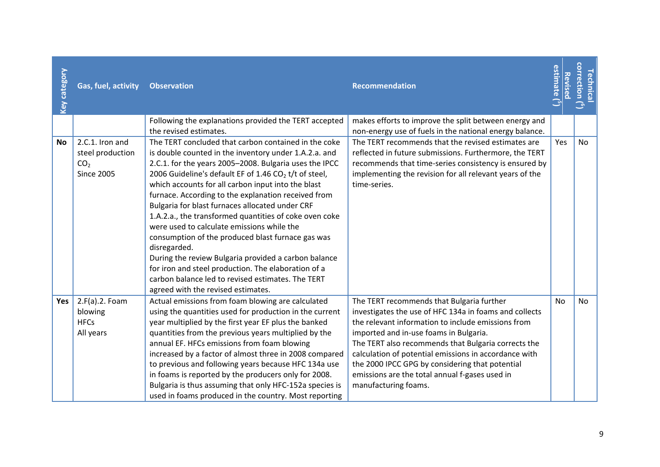| Key category | Gas, fuel, activity                                                         | <b>Observation</b>                                                                                                                                                                                                                                                                                                                                                                                                                                                                                                                                                                                                                                                                                                                                                                        | Recommendation                                                                                                                                                                                                                                                                                                                                                                                                                                   | estimate $(^5)$<br><b>Revised</b> | correction ( <sup>6</sup> )<br><b>Technica</b> |
|--------------|-----------------------------------------------------------------------------|-------------------------------------------------------------------------------------------------------------------------------------------------------------------------------------------------------------------------------------------------------------------------------------------------------------------------------------------------------------------------------------------------------------------------------------------------------------------------------------------------------------------------------------------------------------------------------------------------------------------------------------------------------------------------------------------------------------------------------------------------------------------------------------------|--------------------------------------------------------------------------------------------------------------------------------------------------------------------------------------------------------------------------------------------------------------------------------------------------------------------------------------------------------------------------------------------------------------------------------------------------|-----------------------------------|------------------------------------------------|
|              |                                                                             | Following the explanations provided the TERT accepted<br>the revised estimates.                                                                                                                                                                                                                                                                                                                                                                                                                                                                                                                                                                                                                                                                                                           | makes efforts to improve the split between energy and<br>non-energy use of fuels in the national energy balance.                                                                                                                                                                                                                                                                                                                                 |                                   |                                                |
| <b>No</b>    | 2.C.1. Iron and<br>steel production<br>CO <sub>2</sub><br><b>Since 2005</b> | The TERT concluded that carbon contained in the coke<br>is double counted in the inventory under 1.A.2.a. and<br>2.C.1. for the years 2005-2008. Bulgaria uses the IPCC<br>2006 Guideline's default EF of 1.46 $CO2$ t/t of steel,<br>which accounts for all carbon input into the blast<br>furnace. According to the explanation received from<br>Bulgaria for blast furnaces allocated under CRF<br>1.A.2.a., the transformed quantities of coke oven coke<br>were used to calculate emissions while the<br>consumption of the produced blast furnace gas was<br>disregarded.<br>During the review Bulgaria provided a carbon balance<br>for iron and steel production. The elaboration of a<br>carbon balance led to revised estimates. The TERT<br>agreed with the revised estimates. | The TERT recommends that the revised estimates are<br>reflected in future submissions. Furthermore, the TERT<br>recommends that time-series consistency is ensured by<br>implementing the revision for all relevant years of the<br>time-series.                                                                                                                                                                                                 | Yes                               | <b>No</b>                                      |
| Yes          | 2.F(a).2. Foam<br>blowing<br><b>HFCs</b><br>All years                       | Actual emissions from foam blowing are calculated<br>using the quantities used for production in the current<br>year multiplied by the first year EF plus the banked<br>quantities from the previous years multiplied by the<br>annual EF. HFCs emissions from foam blowing<br>increased by a factor of almost three in 2008 compared<br>to previous and following years because HFC 134a use<br>in foams is reported by the producers only for 2008.<br>Bulgaria is thus assuming that only HFC-152a species is<br>used in foams produced in the country. Most reporting                                                                                                                                                                                                                 | The TERT recommends that Bulgaria further<br>investigates the use of HFC 134a in foams and collects<br>the relevant information to include emissions from<br>imported and in-use foams in Bulgaria.<br>The TERT also recommends that Bulgaria corrects the<br>calculation of potential emissions in accordance with<br>the 2000 IPCC GPG by considering that potential<br>emissions are the total annual f-gases used in<br>manufacturing foams. | <b>No</b>                         | No                                             |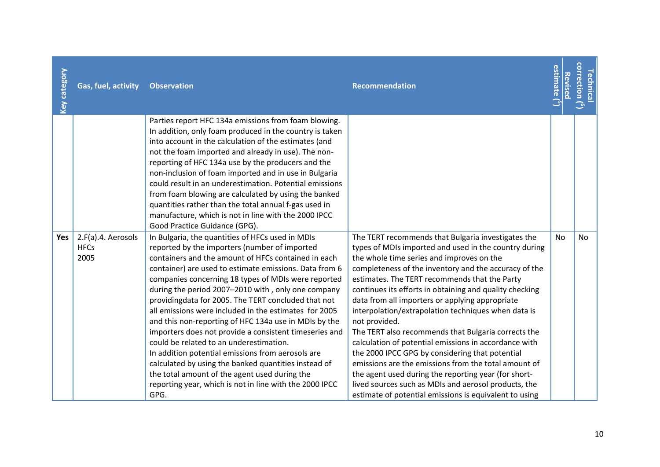| <b>Key category</b> | Gas, fuel, activity                       | <b>Observation</b>                                                                                                                                                                                                                                                                                                                                                                                                                                                                                                                                                                                                                                                                                                                                                                                                                             | <b>Recommendation</b>                                                                                                                                                                                                                                                                                                                                                                                                                                                                                                                                                                                                                                                                                                                                                                                                                                         | estimate $(^5)$<br>Revised | correction ( <sup>6</sup><br>Technica |
|---------------------|-------------------------------------------|------------------------------------------------------------------------------------------------------------------------------------------------------------------------------------------------------------------------------------------------------------------------------------------------------------------------------------------------------------------------------------------------------------------------------------------------------------------------------------------------------------------------------------------------------------------------------------------------------------------------------------------------------------------------------------------------------------------------------------------------------------------------------------------------------------------------------------------------|---------------------------------------------------------------------------------------------------------------------------------------------------------------------------------------------------------------------------------------------------------------------------------------------------------------------------------------------------------------------------------------------------------------------------------------------------------------------------------------------------------------------------------------------------------------------------------------------------------------------------------------------------------------------------------------------------------------------------------------------------------------------------------------------------------------------------------------------------------------|----------------------------|---------------------------------------|
|                     |                                           | Parties report HFC 134a emissions from foam blowing.<br>In addition, only foam produced in the country is taken<br>into account in the calculation of the estimates (and<br>not the foam imported and already in use). The non-<br>reporting of HFC 134a use by the producers and the<br>non-inclusion of foam imported and in use in Bulgaria<br>could result in an underestimation. Potential emissions<br>from foam blowing are calculated by using the banked<br>quantities rather than the total annual f-gas used in<br>manufacture, which is not in line with the 2000 IPCC<br>Good Practice Guidance (GPG).                                                                                                                                                                                                                            |                                                                                                                                                                                                                                                                                                                                                                                                                                                                                                                                                                                                                                                                                                                                                                                                                                                               |                            |                                       |
| Yes                 | 2.F(a).4. Aerosols<br><b>HFCs</b><br>2005 | In Bulgaria, the quantities of HFCs used in MDIs<br>reported by the importers (number of imported<br>containers and the amount of HFCs contained in each<br>container) are used to estimate emissions. Data from 6<br>companies concerning 18 types of MDIs were reported<br>during the period 2007-2010 with, only one company<br>providingdata for 2005. The TERT concluded that not<br>all emissions were included in the estimates for 2005<br>and this non-reporting of HFC 134a use in MDIs by the<br>importers does not provide a consistent timeseries and<br>could be related to an underestimation.<br>In addition potential emissions from aerosols are<br>calculated by using the banked quantities instead of<br>the total amount of the agent used during the<br>reporting year, which is not in line with the 2000 IPCC<br>GPG. | The TERT recommends that Bulgaria investigates the<br>types of MDIs imported and used in the country during<br>the whole time series and improves on the<br>completeness of the inventory and the accuracy of the<br>estimates. The TERT recommends that the Party<br>continues its efforts in obtaining and quality checking<br>data from all importers or applying appropriate<br>interpolation/extrapolation techniques when data is<br>not provided.<br>The TERT also recommends that Bulgaria corrects the<br>calculation of potential emissions in accordance with<br>the 2000 IPCC GPG by considering that potential<br>emissions are the emissions from the total amount of<br>the agent used during the reporting year (for short-<br>lived sources such as MDIs and aerosol products, the<br>estimate of potential emissions is equivalent to using | <b>No</b>                  | No                                    |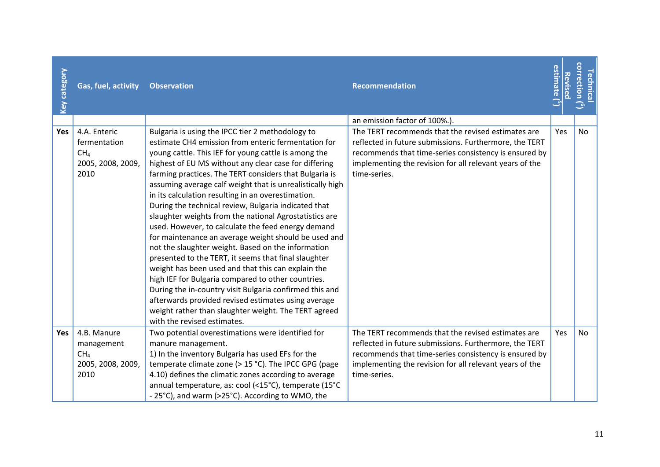| Key category | Gas, fuel, activity                                                          | <b>Observation</b>                                                                                                                                                                                                                                                                                                                                                                                                                                                                                                                                                                                                                                                                                                                                                                                                                                                                                                                                                                                                                        | <b>Recommendation</b>                                                                                                                                                                                                                            | estimate ( <sup>5</sup><br>Revised | <b>Correction</b><br><b>echnica</b> |
|--------------|------------------------------------------------------------------------------|-------------------------------------------------------------------------------------------------------------------------------------------------------------------------------------------------------------------------------------------------------------------------------------------------------------------------------------------------------------------------------------------------------------------------------------------------------------------------------------------------------------------------------------------------------------------------------------------------------------------------------------------------------------------------------------------------------------------------------------------------------------------------------------------------------------------------------------------------------------------------------------------------------------------------------------------------------------------------------------------------------------------------------------------|--------------------------------------------------------------------------------------------------------------------------------------------------------------------------------------------------------------------------------------------------|------------------------------------|-------------------------------------|
|              |                                                                              |                                                                                                                                                                                                                                                                                                                                                                                                                                                                                                                                                                                                                                                                                                                                                                                                                                                                                                                                                                                                                                           | an emission factor of 100%.).                                                                                                                                                                                                                    |                                    |                                     |
| <b>Yes</b>   | 4.A. Enteric<br>fermentation<br>CH <sub>4</sub><br>2005, 2008, 2009,<br>2010 | Bulgaria is using the IPCC tier 2 methodology to<br>estimate CH4 emission from enteric fermentation for<br>young cattle. This IEF for young cattle is among the<br>highest of EU MS without any clear case for differing<br>farming practices. The TERT considers that Bulgaria is<br>assuming average calf weight that is unrealistically high<br>in its calculation resulting in an overestimation.<br>During the technical review, Bulgaria indicated that<br>slaughter weights from the national Agrostatistics are<br>used. However, to calculate the feed energy demand<br>for maintenance an average weight should be used and<br>not the slaughter weight. Based on the information<br>presented to the TERT, it seems that final slaughter<br>weight has been used and that this can explain the<br>high IEF for Bulgaria compared to other countries.<br>During the in-country visit Bulgaria confirmed this and<br>afterwards provided revised estimates using average<br>weight rather than slaughter weight. The TERT agreed | The TERT recommends that the revised estimates are<br>reflected in future submissions. Furthermore, the TERT<br>recommends that time-series consistency is ensured by<br>implementing the revision for all relevant years of the<br>time-series. | Yes                                | <b>No</b>                           |
| Yes          | 4.B. Manure<br>management<br>CH <sub>4</sub><br>2005, 2008, 2009,<br>2010    | with the revised estimates.<br>Two potential overestimations were identified for<br>manure management.<br>1) In the inventory Bulgaria has used EFs for the<br>temperate climate zone (> 15 °C). The IPCC GPG (page<br>4.10) defines the climatic zones according to average<br>annual temperature, as: cool (<15°C), temperate (15°C<br>- 25°C), and warm (>25°C). According to WMO, the                                                                                                                                                                                                                                                                                                                                                                                                                                                                                                                                                                                                                                                 | The TERT recommends that the revised estimates are<br>reflected in future submissions. Furthermore, the TERT<br>recommends that time-series consistency is ensured by<br>implementing the revision for all relevant years of the<br>time-series. | Yes                                | <b>No</b>                           |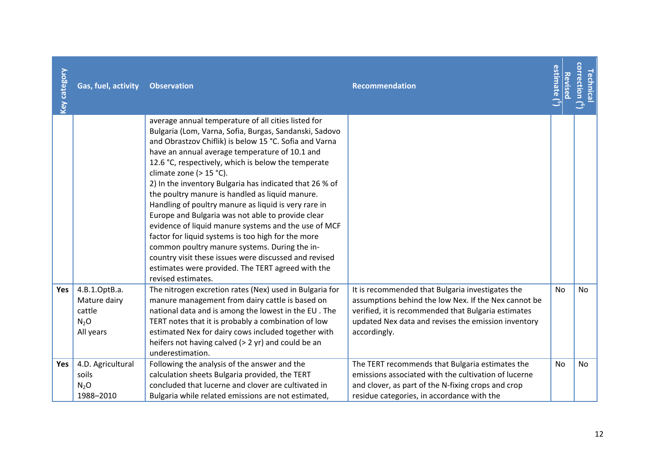| <b>Key category</b> | Gas, fuel, activity                                                      | <b>Observation</b>                                                                                                                                                                                                                                                                                                                                                                                                                                                                                                                                                                                                                                                                                                                                                                                                                        | <b>Recommendation</b>                                                                                                                                                                                                                  | estimate ( $^5$ )<br>Revised | correction $\mathfrak{C}$<br>Technical |
|---------------------|--------------------------------------------------------------------------|-------------------------------------------------------------------------------------------------------------------------------------------------------------------------------------------------------------------------------------------------------------------------------------------------------------------------------------------------------------------------------------------------------------------------------------------------------------------------------------------------------------------------------------------------------------------------------------------------------------------------------------------------------------------------------------------------------------------------------------------------------------------------------------------------------------------------------------------|----------------------------------------------------------------------------------------------------------------------------------------------------------------------------------------------------------------------------------------|------------------------------|----------------------------------------|
|                     |                                                                          | average annual temperature of all cities listed for<br>Bulgaria (Lom, Varna, Sofia, Burgas, Sandanski, Sadovo<br>and Obrastzov Chiflik) is below 15 °C. Sofia and Varna<br>have an annual average temperature of 10.1 and<br>12.6 °C, respectively, which is below the temperate<br>climate zone (> 15 °C).<br>2) In the inventory Bulgaria has indicated that 26 % of<br>the poultry manure is handled as liquid manure.<br>Handling of poultry manure as liquid is very rare in<br>Europe and Bulgaria was not able to provide clear<br>evidence of liquid manure systems and the use of MCF<br>factor for liquid systems is too high for the more<br>common poultry manure systems. During the in-<br>country visit these issues were discussed and revised<br>estimates were provided. The TERT agreed with the<br>revised estimates. |                                                                                                                                                                                                                                        |                              |                                        |
| Yes                 | 4.B.1.OptB.a.<br>Mature dairy<br>cattle<br>N <sub>2</sub> O<br>All years | The nitrogen excretion rates (Nex) used in Bulgaria for<br>manure management from dairy cattle is based on<br>national data and is among the lowest in the EU. The<br>TERT notes that it is probably a combination of low<br>estimated Nex for dairy cows included together with<br>heifers not having calved (> 2 yr) and could be an<br>underestimation.                                                                                                                                                                                                                                                                                                                                                                                                                                                                                | It is recommended that Bulgaria investigates the<br>assumptions behind the low Nex. If the Nex cannot be<br>verified, it is recommended that Bulgaria estimates<br>updated Nex data and revises the emission inventory<br>accordingly. | <b>No</b>                    | <b>No</b>                              |
| Yes                 | 4.D. Agricultural<br>soils<br>$N_2O$<br>1988-2010                        | Following the analysis of the answer and the<br>calculation sheets Bulgaria provided, the TERT<br>concluded that lucerne and clover are cultivated in<br>Bulgaria while related emissions are not estimated,                                                                                                                                                                                                                                                                                                                                                                                                                                                                                                                                                                                                                              | The TERT recommends that Bulgaria estimates the<br>emissions associated with the cultivation of lucerne<br>and clover, as part of the N-fixing crops and crop<br>residue categories, in accordance with the                            | <b>No</b>                    | <b>No</b>                              |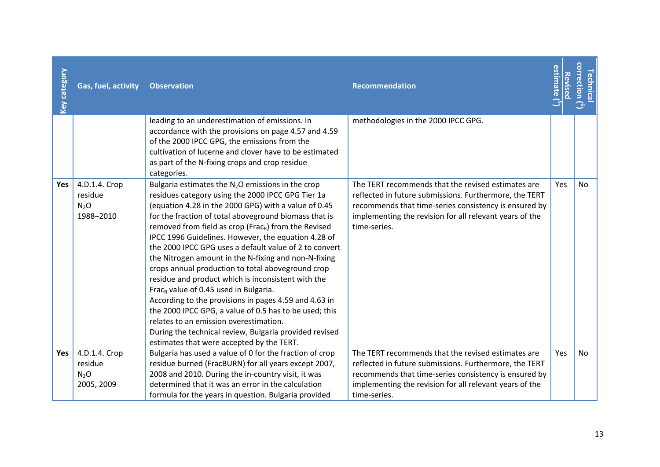| <b>Key category</b> | Gas, fuel, activity                                       | <b>Observation</b>                                                                                                                                                                                                                                                                                                                                                                                                                                                                                                                                                                                                                                                                                                                                                                                                                                                                                         | <b>Recommendation</b>                                                                                                                                                                                                                            | estimate ( <sup>5</sup> )<br>Revised | correction ( <sup>6</sup> )<br>echnica |
|---------------------|-----------------------------------------------------------|------------------------------------------------------------------------------------------------------------------------------------------------------------------------------------------------------------------------------------------------------------------------------------------------------------------------------------------------------------------------------------------------------------------------------------------------------------------------------------------------------------------------------------------------------------------------------------------------------------------------------------------------------------------------------------------------------------------------------------------------------------------------------------------------------------------------------------------------------------------------------------------------------------|--------------------------------------------------------------------------------------------------------------------------------------------------------------------------------------------------------------------------------------------------|--------------------------------------|----------------------------------------|
|                     |                                                           | leading to an underestimation of emissions. In<br>accordance with the provisions on page 4.57 and 4.59<br>of the 2000 IPCC GPG, the emissions from the<br>cultivation of lucerne and clover have to be estimated<br>as part of the N-fixing crops and crop residue<br>categories.                                                                                                                                                                                                                                                                                                                                                                                                                                                                                                                                                                                                                          | methodologies in the 2000 IPCC GPG.                                                                                                                                                                                                              |                                      |                                        |
| Yes                 | 4.D.1.4. Crop<br>residue<br>N <sub>2</sub> O<br>1988-2010 | Bulgaria estimates the $N_2O$ emissions in the crop<br>residues category using the 2000 IPCC GPG Tier 1a<br>(equation 4.28 in the 2000 GPG) with a value of 0.45<br>for the fraction of total aboveground biomass that is<br>removed from field as crop (Frac <sub>R</sub> ) from the Revised<br>IPCC 1996 Guidelines. However, the equation 4.28 of<br>the 2000 IPCC GPG uses a default value of 2 to convert<br>the Nitrogen amount in the N-fixing and non-N-fixing<br>crops annual production to total aboveground crop<br>residue and product which is inconsistent with the<br>Frac <sub>R</sub> value of 0.45 used in Bulgaria.<br>According to the provisions in pages 4.59 and 4.63 in<br>the 2000 IPCC GPG, a value of 0.5 has to be used; this<br>relates to an emission overestimation.<br>During the technical review, Bulgaria provided revised<br>estimates that were accepted by the TERT. | The TERT recommends that the revised estimates are<br>reflected in future submissions. Furthermore, the TERT<br>recommends that time-series consistency is ensured by<br>implementing the revision for all relevant years of the<br>time-series. | Yes                                  | No.                                    |
| Yes                 | 4.D.1.4. Crop<br>residue<br>$N_2O$<br>2005, 2009          | Bulgaria has used a value of 0 for the fraction of crop<br>residue burned (FracBURN) for all years except 2007,<br>2008 and 2010. During the in-country visit, it was<br>determined that it was an error in the calculation<br>formula for the years in question. Bulgaria provided                                                                                                                                                                                                                                                                                                                                                                                                                                                                                                                                                                                                                        | The TERT recommends that the revised estimates are<br>reflected in future submissions. Furthermore, the TERT<br>recommends that time-series consistency is ensured by<br>implementing the revision for all relevant years of the<br>time-series. | Yes                                  | No                                     |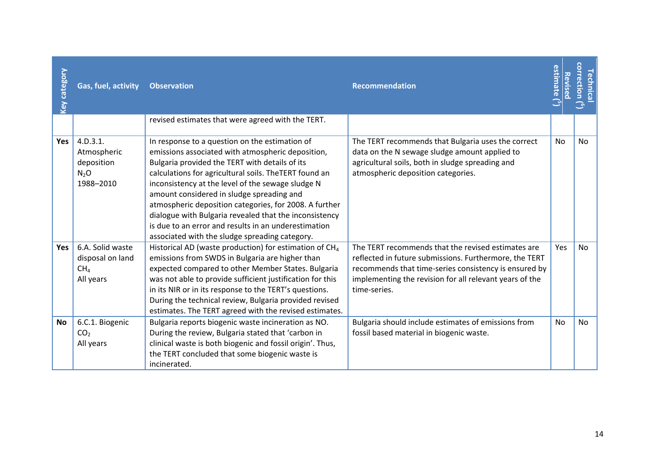| <b>Key category</b> | Gas, fuel, activity                                                  | <b>Observation</b>                                                                                                                                                                                                                                                                                                                                                                                                                                                                                                                              | <b>Recommendation</b>                                                                                                                                                                                                                            | estimate<br>Revised | <b>correction</b><br>echnica |
|---------------------|----------------------------------------------------------------------|-------------------------------------------------------------------------------------------------------------------------------------------------------------------------------------------------------------------------------------------------------------------------------------------------------------------------------------------------------------------------------------------------------------------------------------------------------------------------------------------------------------------------------------------------|--------------------------------------------------------------------------------------------------------------------------------------------------------------------------------------------------------------------------------------------------|---------------------|------------------------------|
|                     |                                                                      | revised estimates that were agreed with the TERT.                                                                                                                                                                                                                                                                                                                                                                                                                                                                                               |                                                                                                                                                                                                                                                  |                     |                              |
| <b>Yes</b>          | 4.D.3.1.<br>Atmospheric<br>deposition<br>$N_2O$<br>1988-2010         | In response to a question on the estimation of<br>emissions associated with atmospheric deposition,<br>Bulgaria provided the TERT with details of its<br>calculations for agricultural soils. The TERT found an<br>inconsistency at the level of the sewage sludge N<br>amount considered in sludge spreading and<br>atmospheric deposition categories, for 2008. A further<br>dialogue with Bulgaria revealed that the inconsistency<br>is due to an error and results in an underestimation<br>associated with the sludge spreading category. | The TERT recommends that Bulgaria uses the correct<br>data on the N sewage sludge amount applied to<br>agricultural soils, both in sludge spreading and<br>atmospheric deposition categories.                                                    | <b>No</b>           | <b>No</b>                    |
| <b>Yes</b>          | 6.A. Solid waste<br>disposal on land<br>CH <sub>4</sub><br>All years | Historical AD (waste production) for estimation of CH <sub>4</sub><br>emissions from SWDS in Bulgaria are higher than<br>expected compared to other Member States. Bulgaria<br>was not able to provide sufficient justification for this<br>in its NIR or in its response to the TERT's questions.<br>During the technical review, Bulgaria provided revised<br>estimates. The TERT agreed with the revised estimates.                                                                                                                          | The TERT recommends that the revised estimates are<br>reflected in future submissions. Furthermore, the TERT<br>recommends that time-series consistency is ensured by<br>implementing the revision for all relevant years of the<br>time-series. | Yes                 | <b>No</b>                    |
| <b>No</b>           | 6.C.1. Biogenic<br>CO <sub>2</sub><br>All years                      | Bulgaria reports biogenic waste incineration as NO.<br>During the review, Bulgaria stated that 'carbon in<br>clinical waste is both biogenic and fossil origin'. Thus,<br>the TERT concluded that some biogenic waste is<br>incinerated.                                                                                                                                                                                                                                                                                                        | Bulgaria should include estimates of emissions from<br>fossil based material in biogenic waste.                                                                                                                                                  | <b>No</b>           | <b>No</b>                    |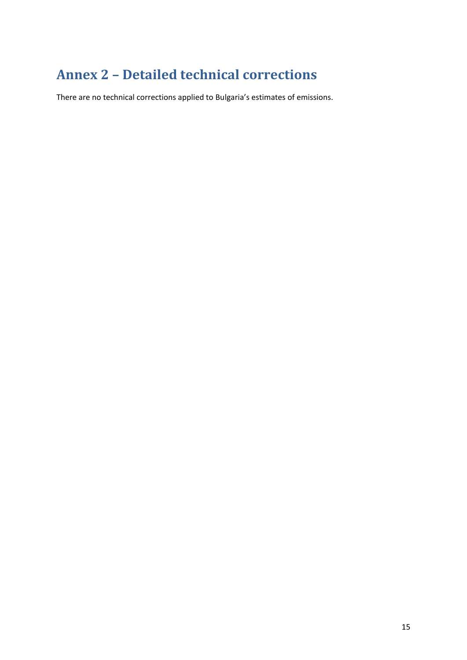# <span id="page-14-0"></span>**Annex 2 – Detailed technical corrections**

There are no technical corrections applied to Bulgaria's estimates of emissions.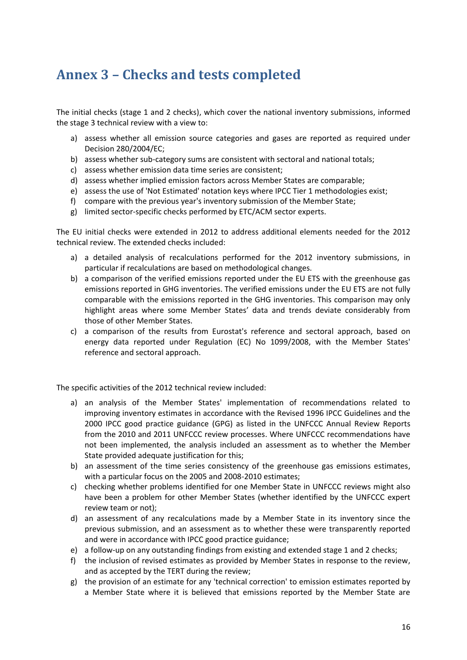### <span id="page-15-0"></span>**Annex 3 – Checks and tests completed**

The initial checks (stage 1 and 2 checks), which cover the national inventory submissions, informed the stage 3 technical review with a view to:

- a) assess whether all emission source categories and gases are reported as required under Decision 280/2004/EC;
- b) assess whether sub-category sums are consistent with sectoral and national totals;
- c) assess whether emission data time series are consistent;
- d) assess whether implied emission factors across Member States are comparable;
- e) assess the use of 'Not Estimated' notation keys where IPCC Tier 1 methodologies exist;
- f) compare with the previous year's inventory submission of the Member State;
- g) limited sector-specific checks performed by ETC/ACM sector experts.

The EU initial checks were extended in 2012 to address additional elements needed for the 2012 technical review. The extended checks included:

- a) a detailed analysis of recalculations performed for the 2012 inventory submissions, in particular if recalculations are based on methodological changes.
- b) a comparison of the verified emissions reported under the EU ETS with the greenhouse gas emissions reported in GHG inventories. The verified emissions under the EU ETS are not fully comparable with the emissions reported in the GHG inventories. This comparison may only highlight areas where some Member States' data and trends deviate considerably from those of other Member States.
- c) a comparison of the results from Eurostat's reference and sectoral approach, based on energy data reported under Regulation (EC) No 1099/2008, with the Member States' reference and sectoral approach.

The specific activities of the 2012 technical review included:

- a) an analysis of the Member States' implementation of recommendations related to improving inventory estimates in accordance with the Revised 1996 IPCC Guidelines and the 2000 IPCC good practice guidance (GPG) as listed in the UNFCCC Annual Review Reports from the 2010 and 2011 UNFCCC review processes. Where UNFCCC recommendations have not been implemented, the analysis included an assessment as to whether the Member State provided adequate justification for this;
- b) an assessment of the time series consistency of the greenhouse gas emissions estimates, with a particular focus on the 2005 and 2008-2010 estimates;
- c) checking whether problems identified for one Member State in UNFCCC reviews might also have been a problem for other Member States (whether identified by the UNFCCC expert review team or not);
- d) an assessment of any recalculations made by a Member State in its inventory since the previous submission, and an assessment as to whether these were transparently reported and were in accordance with IPCC good practice guidance;
- e) a follow-up on any outstanding findings from existing and extended stage 1 and 2 checks;
- f) the inclusion of revised estimates as provided by Member States in response to the review, and as accepted by the TERT during the review;
- g) the provision of an estimate for any 'technical correction' to emission estimates reported by a Member State where it is believed that emissions reported by the Member State are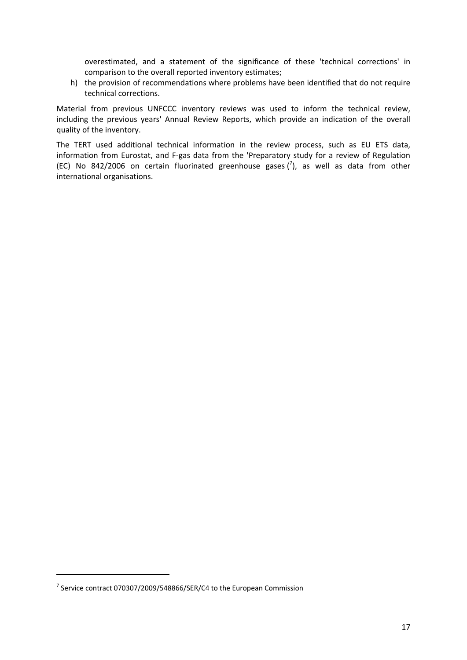overestimated, and a statement of the significance of these 'technical corrections' in comparison to the overall reported inventory estimates;

h) the provision of recommendations where problems have been identified that do not require technical corrections.

Material from previous UNFCCC inventory reviews was used to inform the technical review, including the previous years' Annual Review Reports, which provide an indication of the overall quality of the inventory.

The TERT used additional technical information in the review process, such as EU ETS data, information from Eurostat, and F-gas data from the 'Preparatory study for a review of Regulation (EC) No 842/2006 on certain fluorinated greenhouse gases  $\binom{7}{2}$ , as well as data from other international organisations.

1

 $^7$  Service contract 070307/2009/548866/SER/C4 to the European Commission